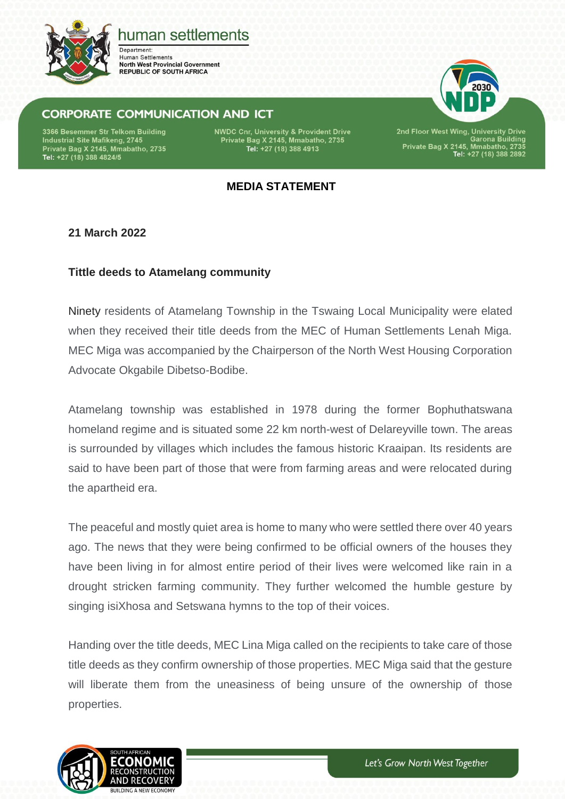

# human settlements

Department: **Human Settlements North West Provincial Government REPUBLIC OF SOUTH AFRICA** 

# **CORPORATE COMMUNICATION AND ICT**

3366 Besemmer Str Telkom Building Industrial Site Mafikeng, 2745 Private Bag X 2145, Mmabatho, 2735<br>Private Bag X 2145, Mmabatho, 2735<br>Tel: +27 (18) 388 4824/5 **NWDC Cnr, University & Provident Drive** Private Bag X 2145, Mmabatho, 2735<br>Tel: +27 (18) 388 4913

2nd Floor West Wing, University Drive<br>Garona Building<br>Private Bag X 2145, Mmabatho, 2735<br>Tel: +27 (18) 388 2892

## **MEDIA STATEMENT**

## **21 March 2022**

#### **Tittle deeds to Atamelang community**

Ninety residents of Atamelang Township in the Tswaing Local Municipality were elated when they received their title deeds from the MEC of Human Settlements Lenah Miga. MEC Miga was accompanied by the Chairperson of the North West Housing Corporation Advocate Okgabile Dibetso-Bodibe.

Atamelang township was established in 1978 during the former Bophuthatswana homeland regime and is situated some 22 km north-west of Delareyville town. The areas is surrounded by villages which includes the famous historic Kraaipan. Its residents are said to have been part of those that were from farming areas and were relocated during the apartheid era.

The peaceful and mostly quiet area is home to many who were settled there over 40 years ago. The news that they were being confirmed to be official owners of the houses they have been living in for almost entire period of their lives were welcomed like rain in a drought stricken farming community. They further welcomed the humble gesture by singing isiXhosa and Setswana hymns to the top of their voices.

Handing over the title deeds, MEC Lina Miga called on the recipients to take care of those title deeds as they confirm ownership of those properties. MEC Miga said that the gesture will liberate them from the uneasiness of being unsure of the ownership of those properties.

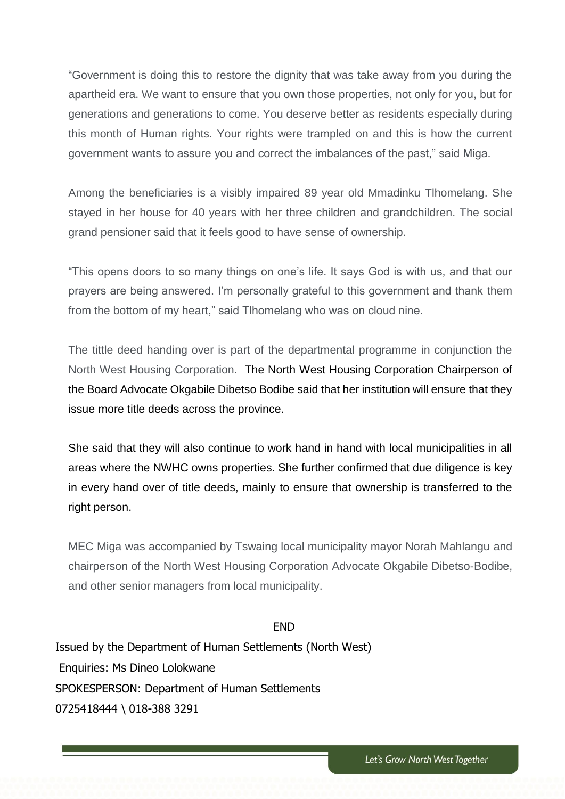"Government is doing this to restore the dignity that was take away from you during the apartheid era. We want to ensure that you own those properties, not only for you, but for generations and generations to come. You deserve better as residents especially during this month of Human rights. Your rights were trampled on and this is how the current government wants to assure you and correct the imbalances of the past," said Miga.

Among the beneficiaries is a visibly impaired 89 year old Mmadinku Tlhomelang. She stayed in her house for 40 years with her three children and grandchildren. The social grand pensioner said that it feels good to have sense of ownership.

"This opens doors to so many things on one's life. It says God is with us, and that our prayers are being answered. I'm personally grateful to this government and thank them from the bottom of my heart," said Tlhomelang who was on cloud nine.

The tittle deed handing over is part of the departmental programme in conjunction the North West Housing Corporation. The North West Housing Corporation Chairperson of the Board Advocate Okgabile Dibetso Bodibe said that her institution will ensure that they issue more title deeds across the province.

She said that they will also continue to work hand in hand with local municipalities in all areas where the NWHC owns properties. She further confirmed that due diligence is key in every hand over of title deeds, mainly to ensure that ownership is transferred to the right person.

MEC Miga was accompanied by Tswaing local municipality mayor Norah Mahlangu and chairperson of the North West Housing Corporation Advocate Okgabile Dibetso-Bodibe, and other senior managers from local municipality.

#### END

Issued by the Department of Human Settlements (North West) Enquiries: Ms Dineo Lolokwane SPOKESPERSON: Department of Human Settlements 0725418444 \ 018-388 3291